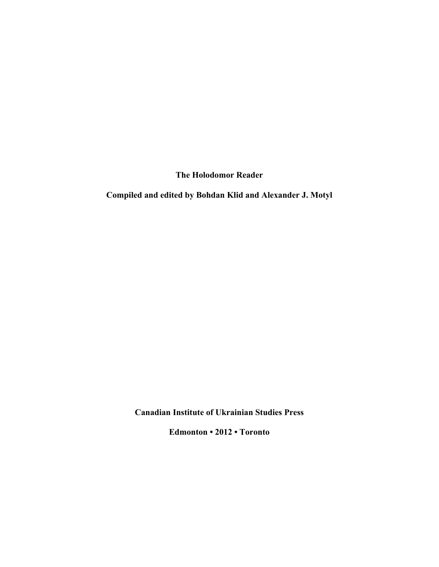**The Holodomor Reader**

**Compiled and edited by Bohdan Klid and Alexander J. Motyl**

**Canadian Institute of Ukrainian Studies Press**

**Edmonton • 2012 • Toronto**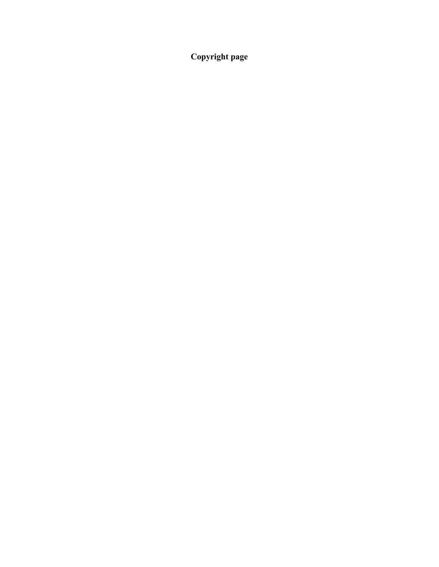**Copyright page**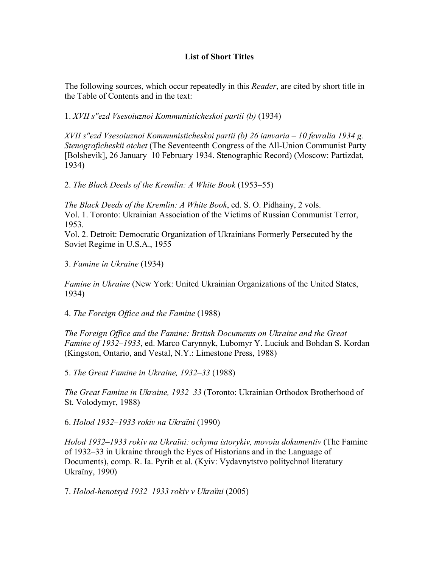## **List of Short Titles**

The following sources, which occur repeatedly in this *Reader*, are cited by short title in the Table of Contents and in the text:

1. *XVII s"ezd Vsesoiuznoi Kommunisticheskoi partii (b)* (1934)

*XVII s"ezd Vsesoiuznoi Kommunisticheskoi partii (b) 26 ianvaria – 10 fevralia 1934 g. Stenograficheskii otchet* (The Seventeenth Congress of the All-Union Communist Party [Bolshevik], 26 January–10 February 1934. Stenographic Record) (Moscow: Partizdat, 1934)

2. *The Black Deeds of the Kremlin: A White Book* (1953–55)

*The Black Deeds of the Kremlin: A White Book*, ed. S. O. Pidhainy, 2 vols. Vol. 1. Toronto: Ukrainian Association of the Victims of Russian Communist Terror, 1953.

Vol. 2. Detroit: Democratic Organization of Ukrainians Formerly Persecuted by the Soviet Regime in U.S.A., 1955

3. *Famine in Ukraine* (1934)

*Famine in Ukraine* (New York: United Ukrainian Organizations of the United States, 1934)

4. *The Foreign Office and the Famine* (1988)

*The Foreign Office and the Famine: British Documents on Ukraine and the Great Famine of 1932–1933*, ed. Marco Carynnyk, Lubomyr Y. Luciuk and Bohdan S. Kordan (Kingston, Ontario, and Vestal, N.Y.: Limestone Press, 1988)

5. *The Great Famine in Ukraine, 1932–33* (1988)

*The Great Famine in Ukraine, 1932–33* (Toronto: Ukrainian Orthodox Brotherhood of St. Volodymyr, 1988)

6. *Holod 1932–1933 rokiv na Ukraïni* (1990)

*Holod 1932–1933 rokiv na Ukraïni: ochyma istorykiv, movoiu dokumentiv* (The Famine of 1932–33 in Ukraine through the Eyes of Historians and in the Language of Documents), comp. R. Ia. Pyrih et al. (Kyiv: Vydavnytstvo politychnoï literatury Ukraïny, 1990)

7. *Holod-henotsyd 1932–1933 rokiv v Ukraïni* (2005)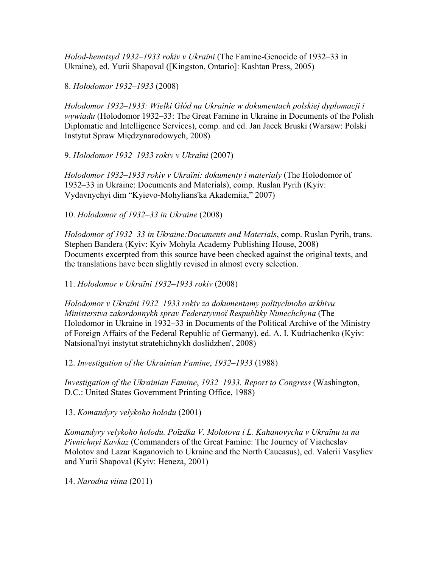*Holod-henotsyd 1932–1933 rokiv v Ukraïni* (The Famine-Genocide of 1932–33 in Ukraine), ed. Yurii Shapoval ([Kingston, Ontario]: Kashtan Press, 2005)

8. *Hołodomor 1932–1933* (2008)

*Hołodomor 1932–1933: Wielki Głód na Ukrainie w dokumentach polskiej dyplomacji i wywiadu* (Holodomor 1932–33: The Great Famine in Ukraine in Documents of the Polish Diplomatic and Intelligence Services), comp. and ed. Jan Jacek Bruski (Warsaw: Polski Instytut Spraw Międzynarodowych, 2008)

9. *Holodomor 1932–1933 rokiv v Ukraïni* (2007)

*Holodomor 1932–1933 rokiv v Ukraïni: dokumenty i materialy* (The Holodomor of 1932–33 in Ukraine: Documents and Materials), comp. Ruslan Pyrih (Kyiv: Vydavnychyi dim "Kyievo-Mohylians'ka Akademiia," 2007)

10. *Holodomor of 1932–33 in Ukraine* (2008)

*Holodomor of 1932–33 in Ukraine:Documents and Materials*, comp. Ruslan Pyrih, trans. Stephen Bandera (Kyiv: Kyiv Mohyla Academy Publishing House, 2008) Documents excerpted from this source have been checked against the original texts, and the translations have been slightly revised in almost every selection.

11. *Holodomor v Ukraïni 1932–1933 rokiv* (2008)

*Holodomor v Ukraïni 1932–1933 rokiv za dokumentamy politychnoho arkhivu Ministerstva zakordonnykh sprav Federatyvnoï Respubliky Nimechchyna* (The Holodomor in Ukraine in 1932–33 in Documents of the Political Archive of the Ministry of Foreign Affairs of the Federal Republic of Germany), ed. A. I. Kudriachenko (Kyiv: Natsional'nyi instytut stratehichnykh doslidzhen', 2008)

12. *Investigation of the Ukrainian Famine*, *1932–1933* (1988)

*Investigation of the Ukrainian Famine*, *1932–1933. Report to Congress* (Washington, D.C.: United States Government Printing Office, 1988)

13. *Komandyry velykoho holodu* (2001)

*Komandyry velykoho holodu. Poïzdka V. Molotova i L. Kahanovycha v Ukraïnu ta na Pivnichnyi Kavkaz* (Commanders of the Great Famine: The Journey of Viacheslav Molotov and Lazar Kaganovich to Ukraine and the North Caucasus), ed. Valerii Vasyliev and Yurii Shapoval (Kyiv: Heneza, 2001)

14. *Narodna viina* (2011)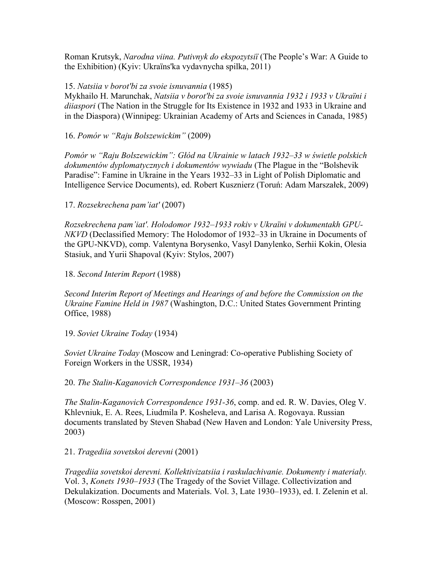Roman Krutsyk, *Narodna viina. Putivnyk do ekspozytsiï* (The People's War: A Guide to the Exhibition) (Kyiv: Ukraïns'ka vydavnycha spilka, 2011)

## 15. *Natsiia v borot'bi za svoie isnuvannia* (1985)

Mykhailo H. Marunchak, *Natsiia v borot'bi za svoie isnuvannia 1932 i 1933 v Ukraïni i diiaspori* (The Nation in the Struggle for Its Existence in 1932 and 1933 in Ukraine and in the Diaspora) (Winnipeg: Ukrainian Academy of Arts and Sciences in Canada, 1985)

16. *Pomór w "Raju Bolszewickim"* (2009)

*Pomór w "Raju Bolszewickim": Głód na Ukrainie w latach 1932–33 w świetle polskich dokumentów dyplomatycznych i dokumentów wywiadu* (The Plague in the "Bolshevik Paradise": Famine in Ukraine in the Years 1932–33 in Light of Polish Diplomatic and Intelligence Service Documents), ed. Robert Kusznierz (Toruń: Adam Marszałek, 2009)

17. *Rozsekrechena pam'iat'* (2007)

*Rozsekrechena pam'iat'. Holodomor 1932–1933 rokiv v Ukraïni v dokumentakh GPU-NKVD* (Declassified Memory: The Holodomor of 1932–33 in Ukraine in Documents of the GPU-NKVD), comp. Valentyna Borysenko, Vasyl Danylenko, Serhii Kokin, Olesia Stasiuk, and Yurii Shapoval (Kyiv: Stylos, 2007)

18. *Second Interim Report* (1988)

*Second Interim Report of Meetings and Hearings of and before the Commission on the Ukraine Famine Held in 1987* (Washington, D.C.: United States Government Printing Office, 1988)

19. *Soviet Ukraine Today* (1934)

*Soviet Ukraine Today* (Moscow and Leningrad: Co-operative Publishing Society of Foreign Workers in the USSR, 1934)

20. *The Stalin-Kaganovich Correspondence 1931–36* (2003)

*The Stalin-Kaganovich Correspondence 1931-36*, comp. and ed. R. W. Davies, Oleg V. Khlevniuk, E. A. Rees, Liudmila P. Kosheleva, and Larisa A. Rogovaya. Russian documents translated by Steven Shabad (New Haven and London: Yale University Press, 2003)

21. *Tragediia sovetskoi derevni* (2001)

*Tragediia sovetskoi derevni. Kollektivizatsiia i raskulachivanie. Dokumenty i materialy.*  Vol. 3, *Konets 1930–1933* (The Tragedy of the Soviet Village. Collectivization and Dekulakization. Documents and Materials. Vol. 3, Late 1930*–*1933), ed. I. Zelenin et al. (Moscow: Rosspen, 2001)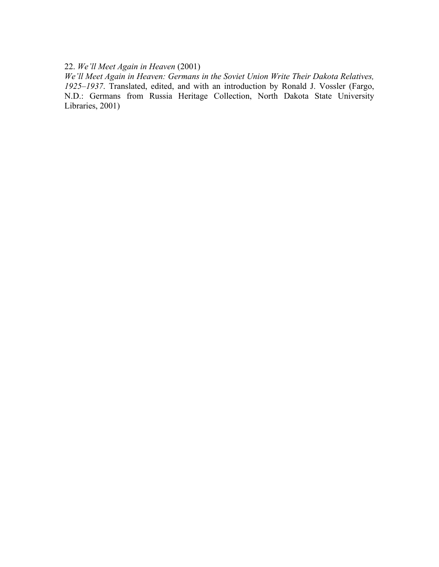## 22. *We'll Meet Again in Heaven* (2001)

*We'll Meet Again in Heaven: Germans in the Soviet Union Write Their Dakota Relatives, 1925–1937*. Translated, edited, and with an introduction by Ronald J. Vossler (Fargo, N.D.: Germans from Russia Heritage Collection, North Dakota State University Libraries, 2001)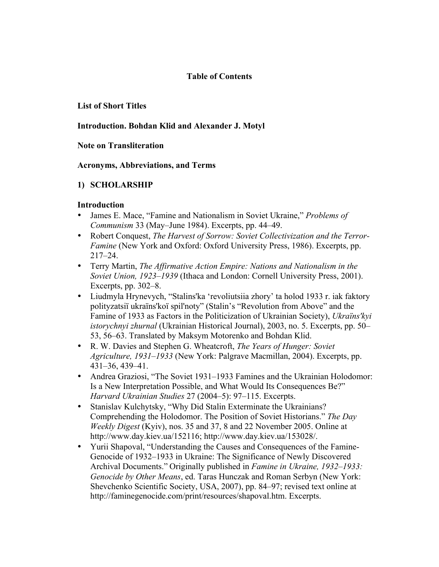#### **Table of Contents**

#### **List of Short Titles**

## **Introduction. Bohdan Klid and Alexander J. Motyl**

#### **Note on Transliteration**

#### **Acronyms, Abbreviations, and Terms**

## **1) SCHOLARSHIP**

- James E. Mace, "Famine and Nationalism in Soviet Ukraine," *Problems of Communism* 33 (May–June 1984). Excerpts, pp. 44–49.
- Robert Conquest, *The Harvest of Sorrow: Soviet Collectivization and the Terror-Famine* (New York and Oxford: Oxford University Press, 1986). Excerpts, pp. 217–24.
- Terry Martin, *The Affirmative Action Empire: Nations and Nationalism in the Soviet Union, 1923–1939* (Ithaca and London: Cornell University Press, 2001). Excerpts, pp. 302–8.
- Liudmyla Hrynevych, "Stalins'ka 'revoliutsiia zhory' ta holod 1933 r. iak faktory polityzatsiï ukraïns'koï spil'noty" (Stalin's "Revolution from Above" and the Famine of 1933 as Factors in the Politicization of Ukrainian Society), *Ukraïns'kyi istorychnyi zhurnal* (Ukrainian Historical Journal), 2003, no. 5. Excerpts, pp. 50– 53, 56–63. Translated by Maksym Motorenko and Bohdan Klid.
- R. W. Davies and Stephen G. Wheatcroft, *The Years of Hunger: Soviet Agriculture, 1931–1933* (New York: Palgrave Macmillan, 2004). Excerpts, pp. 431–36, 439–41.
- Andrea Graziosi, "The Soviet 1931–1933 Famines and the Ukrainian Holodomor: Is a New Interpretation Possible, and What Would Its Consequences Be?" *Harvard Ukrainian Studies* 27 (2004–5): 97–115. Excerpts.
- Stanislav Kulchytsky, "Why Did Stalin Exterminate the Ukrainians? Comprehending the Holodomor. The Position of Soviet Historians." *The Day Weekly Digest* (Kyiv), nos. 35 and 37, 8 and 22 November 2005. Online at http://www.day.kiev.ua/152116; http://www.day.kiev.ua/153028/.
- Yurii Shapoval, "Understanding the Causes and Consequences of the Famine-Genocide of 1932–1933 in Ukraine: The Significance of Newly Discovered Archival Documents." Originally published in *Famine in Ukraine, 1932–1933: Genocide by Other Means*, ed. Taras Hunczak and Roman Serbyn (New York: Shevchenko Scientific Society, USA, 2007), pp. 84–97; revised text online at http://faminegenocide.com/print/resources/shapoval.htm. Excerpts.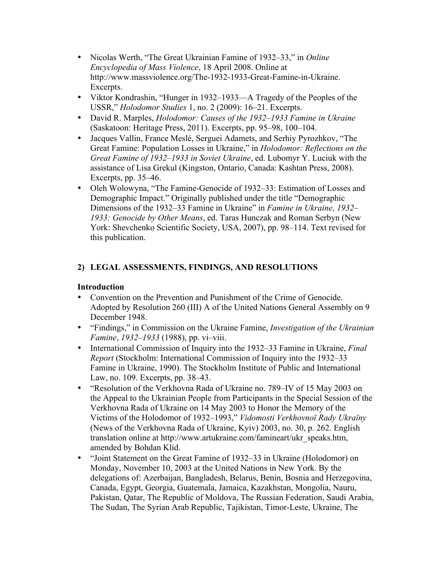- Nicolas Werth, "The Great Ukrainian Famine of 1932–33," in *Online Encyclopedia of Mass Violence*, 18 April 2008. Online at http://www.massviolence.org/The-1932-1933-Great-Famine-in-Ukraine. Excerpts.
- Viktor Kondrashin, "Hunger in 1932–1933—A Tragedy of the Peoples of the USSR," *Holodomor Studies* 1, no. 2 (2009): 16–21. Excerpts.
- David R. Marples, *Holodomor: Causes of the 1932–1933 Famine in Ukraine* (Saskatoon: Heritage Press, 2011). Excerpts, pp. 95–98, 100–104.
- Jacques Vallin, France Meslé, Serguei Adamets, and Serhiy Pyrozhkov, "The Great Famine: Population Losses in Ukraine," in *Holodomor: Reflections on the Great Famine of 1932–1933 in Soviet Ukraine*, ed. Lubomyr Y. Luciuk with the assistance of Lisa Grekul (Kingston, Ontario, Canada: Kashtan Press, 2008). Excerpts, pp. 35–46.
- Oleh Wolowyna, "The Famine-Genocide of 1932–33: Estimation of Losses and Demographic Impact." Originally published under the title "Demographic Dimensions of the 1932–33 Famine in Ukraine" in *Famine in Ukraine, 1932– 1933: Genocide by Other Means*, ed. Taras Hunczak and Roman Serbyn (New York: Shevchenko Scientific Society, USA, 2007), pp. 98–114. Text revised for this publication.

## **2) LEGAL ASSESSMENTS, FINDINGS, AND RESOLUTIONS**

- Convention on the Prevention and Punishment of the Crime of Genocide. Adopted by Resolution 260 (III) A of the United Nations General Assembly on 9 December 1948.
- "Findings," in Commission on the Ukraine Famine, *Investigation of the Ukrainian Famine*, *1932–1933* (1988), pp. vi–viii.
- International Commission of Inquiry into the 1932–33 Famine in Ukraine, *Final Report* (Stockholm: International Commission of Inquiry into the 1932–33 Famine in Ukraine, 1990). The Stockholm Institute of Public and International Law, no. 109. Excerpts, pp. 38–43.
- "Resolution of the Verkhovna Rada of Ukraine no. 789–IV of 15 May 2003 on the Appeal to the Ukrainian People from Participants in the Special Session of the Verkhovna Rada of Ukraine on 14 May 2003 to Honor the Memory of the Victims of the Holodomor of 1932–1993," *Vidomosti Verkhovnoï Rady Ukraïny* (News of the Verkhovna Rada of Ukraine, Kyiv) 2003, no. 30, p. 262. English translation online at http://www.artukraine.com/famineart/ukr\_speaks.htm, amended by Bohdan Klid.
- "Joint Statement on the Great Famine of 1932–33 in Ukraine (Holodomor) on Monday, November 10, 2003 at the United Nations in New York. By the delegations of: Azerbaijan, Bangladesh, Belarus, Benin, Bosnia and Herzegovina, Canada, Egypt, Georgia, Guatemala, Jamaica, Kazakhstan, Mongolia, Nauru, Pakistan, Qatar, The Republic of Moldova, The Russian Federation, Saudi Arabia, The Sudan, The Syrian Arab Republic, Tajikistan, Timor-Leste, Ukraine, The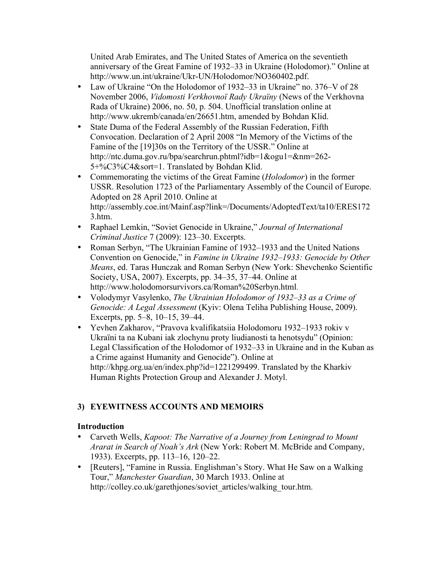United Arab Emirates, and The United States of America on the seventieth anniversary of the Great Famine of 1932–33 in Ukraine (Holodomor)." Online at http://www.un.int/ukraine/Ukr-UN/Holodomor/NO360402.pdf.

- Law of Ukraine "On the Holodomor of 1932–33 in Ukraine" no. 376–V of 28 November 2006, *Vidomosti Verkhovnoï Rady Ukraïny* (News of the Verkhovna Rada of Ukraine) 2006, no. 50, p. 504. Unofficial translation online at http://www.ukremb/canada/en/26651.htm, amended by Bohdan Klid.
- State Duma of the Federal Assembly of the Russian Federation, Fifth Convocation. Declaration of 2 April 2008 "In Memory of the Victims of the Famine of the [19]30s on the Territory of the USSR." Online at http://ntc.duma.gov.ru/bpa/searchrun.phtml?idb=1&ogu1=&nm=262- 5+%C3%C4&sort=1. Translated by Bohdan Klid.
- Commemorating the victims of the Great Famine (*Holodomor*) in the former USSR. Resolution 1723 of the Parliamentary Assembly of the Council of Europe. Adopted on 28 April 2010. Online at http://assembly.coe.int/Mainf.asp?link=/Documents/AdoptedText/ta10/ERES172 3.htm.
- Raphael Lemkin, "Soviet Genocide in Ukraine," *Journal of International Criminal Justice* 7 (2009): 123–30. Excerpts.
- Roman Serbyn, "The Ukrainian Famine of 1932–1933 and the United Nations Convention on Genocide," in *Famine in Ukraine 1932–1933: Genocide by Other Means*, ed. Taras Hunczak and Roman Serbyn (New York: Shevchenko Scientific Society, USA, 2007). Excerpts, pp. 34–35, 37–44. Online at http://www.holodomorsurvivors.ca/Roman%20Serbyn.html.
- Volodymyr Vasylenko, *The Ukrainian Holodomor of 1932–33 as a Crime of Genocide: A Legal Assessment* (Kyiv: Olena Teliha Publishing House, 2009). Excerpts, pp. 5–8, 10–15, 39–44.
- Yevhen Zakharov, "Pravova kvalifikatsiia Holodomoru 1932–1933 rokiv v Ukraïni ta na Kubani iak zlochynu proty liudianosti ta henotsydu" (Opinion: Legal Classification of the Holodomor of 1932–33 in Ukraine and in the Kuban as a Crime against Humanity and Genocide"). Online at http://khpg.org.ua/en/index.php?id=1221299499. Translated by the Kharkiv Human Rights Protection Group and Alexander J. Motyl.

# **3) EYEWITNESS ACCOUNTS AND MEMOIRS**

- Carveth Wells, *Kapoot: The Narrative of a Journey from Leningrad to Mount Ararat in Search of Noah's Ark* (New York: Robert M. McBride and Company, 1933). Excerpts, pp. 113–16, 120–22.
- [Reuters], "Famine in Russia. Englishman's Story. What He Saw on a Walking Tour," *Manchester Guardian*, 30 March 1933. Online at http://colley.co.uk/garethjones/soviet\_articles/walking\_tour.htm.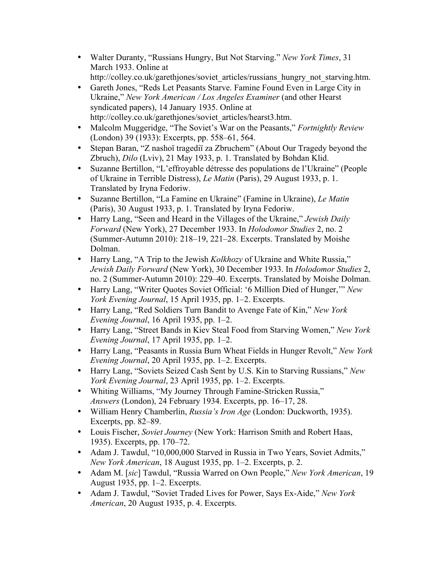- Walter Duranty, "Russians Hungry, But Not Starving." *New York Times*, 31 March 1933. Online at http://colley.co.uk/garethjones/soviet\_articles/russians\_hungry\_not\_starving.htm.
- Gareth Jones, "Reds Let Peasants Starve. Famine Found Even in Large City in Ukraine," *New York American / Los Angeles Examiner* (and other Hearst syndicated papers), 14 January 1935. Online at http://colley.co.uk/garethjones/soviet\_articles/hearst3.htm.
- Malcolm Muggeridge, "The Soviet's War on the Peasants," *Fortnightly Review* (London) 39 (1933): Excerpts, pp. 558–61, 564.
- Stepan Baran, "Z nashoï tragediï za Zbruchem" (About Our Tragedy beyond the Zbruch), *Dilo* (Lviv), 21 May 1933, p. 1. Translated by Bohdan Klid.
- Suzanne Bertillon, "L'effroyable détresse des populations de l'Ukraine" (People of Ukraine in Terrible Distress), *Le Matin* (Paris), 29 August 1933, p. 1. Translated by Iryna Fedoriw.
- Suzanne Bertillon, "La Famine en Ukraine" (Famine in Ukraine), *Le Matin* (Paris), 30 August 1933, p. 1. Translated by Iryna Fedoriw.
- Harry Lang, "Seen and Heard in the Villages of the Ukraine," *Jewish Daily Forward* (New York), 27 December 1933. In *Holodomor Studies* 2, no. 2 (Summer-Autumn 2010): 218–19, 221–28. Excerpts. Translated by Moishe Dolman.
- Harry Lang, "A Trip to the Jewish *Kolkhozy* of Ukraine and White Russia," *Jewish Daily Forward* (New York), 30 December 1933. In *Holodomor Studies* 2, no. 2 (Summer-Autumn 2010): 229–40. Excerpts. Translated by Moishe Dolman.
- Harry Lang, "Writer Quotes Soviet Official: '6 Million Died of Hunger,'" *New York Evening Journal*, 15 April 1935, pp. 1–2. Excerpts.
- Harry Lang, "Red Soldiers Turn Bandit to Avenge Fate of Kin," *New York Evening Journal*, 16 April 1935, pp. 1–2.
- Harry Lang, "Street Bands in Kiev Steal Food from Starving Women," *New York Evening Journal*, 17 April 1935, pp. 1–2.
- Harry Lang, "Peasants in Russia Burn Wheat Fields in Hunger Revolt," *New York Evening Journal*, 20 April 1935, pp. 1–2. Excerpts.
- Harry Lang, "Soviets Seized Cash Sent by U.S. Kin to Starving Russians," *New York Evening Journal*, 23 April 1935, pp. 1–2. Excerpts.
- Whiting Williams, "My Journey Through Famine-Stricken Russia," *Answers* (London), 24 February 1934. Excerpts, pp. 16–17, 28.
- William Henry Chamberlin, *Russia's Iron Age* (London: Duckworth, 1935). Excerpts, pp. 82–89.
- Louis Fischer, *Soviet Journey* (New York: Harrison Smith and Robert Haas, 1935). Excerpts, pp. 170–72.
- Adam J. Tawdul, "10,000,000 Starved in Russia in Two Years, Soviet Admits," *New York American*, 18 August 1935, pp. 1–2. Excerpts, p. 2.
- Adam M. [*sic*] Tawdul, "Russia Warred on Own People," *New York American*, 19 August 1935, pp. 1–2. Excerpts.
- Adam J. Tawdul, "Soviet Traded Lives for Power, Says Ex-Aide," *New York American*, 20 August 1935, p. 4. Excerpts.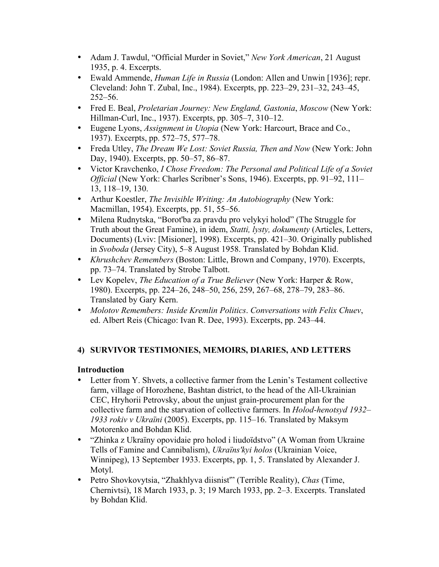- Adam J. Tawdul, "Official Murder in Soviet," *New York American*, 21 August 1935, p. 4. Excerpts.
- Ewald Ammende, *Human Life in Russia* (London: Allen and Unwin [1936]; repr. Cleveland: John T. Zubal, Inc., 1984). Excerpts, pp. 223–29, 231–32, 243–45, 252–56.
- Fred E. Beal, *Proletarian Journey: New England, Gastonia*, *Moscow* (New York: Hillman-Curl, Inc., 1937). Excerpts, pp. 305–7, 310–12.
- Eugene Lyons, *Assignment in Utopia* (New York: Harcourt, Brace and Co., 1937). Excerpts, pp. 572–75, 577–78.
- Freda Utley, *The Dream We Lost: Soviet Russia, Then and Now* (New York: John Day, 1940). Excerpts, pp. 50–57, 86–87.
- Victor Kravchenko, *I Chose Freedom: The Personal and Political Life of a Soviet Official* (New York: Charles Scribner's Sons, 1946). Excerpts, pp. 91–92, 111– 13, 118–19, 130.
- Arthur Koestler, *The Invisible Writing: An Autobiography* (New York: Macmillan, 1954). Excerpts, pp. 51, 55–56.
- Milena Rudnytska, "Borot'ba za pravdu pro velykyi holod" (The Struggle for Truth about the Great Famine), in idem, *Statti, lysty, dokumenty* (Articles, Letters, Documents) (Lviv: [Misioner], 1998). Excerpts, pp. 421–30. Originally published in *Svoboda* (Jersey City), 5–8 August 1958. Translated by Bohdan Klid.
- *Khrushchev Remembers* (Boston: Little, Brown and Company, 1970). Excerpts, pp. 73–74. Translated by Strobe Talbott.
- Lev Kopelev, *The Education of a True Believer* (New York: Harper & Row, 1980). Excerpts, pp. 224–26, 248–50, 256, 259, 267–68, 278–79, 283–86. Translated by Gary Kern.
- *Molotov Remembers: Inside Kremlin Politics*. *Conversations with Felix Chuev*, ed. Albert Reis (Chicago: Ivan R. Dee, 1993). Excerpts, pp. 243–44.

## **4) SURVIVOR TESTIMONIES, MEMOIRS, DIARIES, AND LETTERS**

- Letter from Y. Shvets, a collective farmer from the Lenin's Testament collective farm, village of Horozhene, Bashtan district, to the head of the All-Ukrainian CEC, Hryhorii Petrovsky, about the unjust grain-procurement plan for the collective farm and the starvation of collective farmers. In *Holod-henotsyd 1932– 1933 rokiv v Ukraïni* (2005). Excerpts, pp. 115–16. Translated by Maksym Motorenko and Bohdan Klid.
- "Zhinka z Ukraïny opovidaie pro holod i liudoïdstvo" (A Woman from Ukraine Tells of Famine and Cannibalism), *Ukraïns'kyi holos* (Ukrainian Voice, Winnipeg), 13 September 1933. Excerpts, pp. 1, 5. Translated by Alexander J. Motyl.
- Petro Shovkovytsia, "Zhakhlyva diisnist'" (Terrible Reality), *Chas* (Time, Chernivtsi), 18 March 1933, p. 3; 19 March 1933, pp. 2–3. Excerpts. Translated by Bohdan Klid.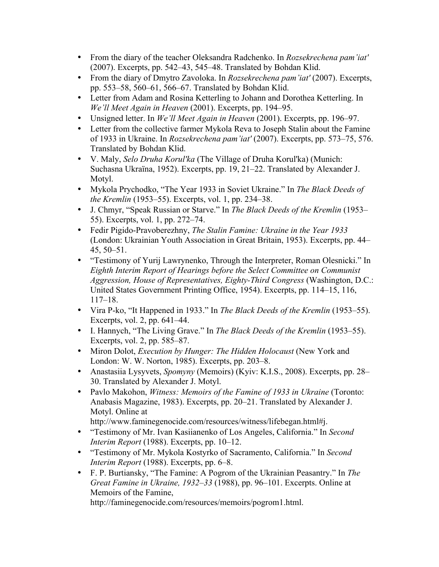- From the diary of the teacher Oleksandra Radchenko. In *Rozsekrechena pam'iat'* (2007). Excerpts, pp. 542–43, 545–48. Translated by Bohdan Klid.
- From the diary of Dmytro Zavoloka. In *Rozsekrechena pam'iat'* (2007). Excerpts, pp. 553–58, 560–61, 566–67. Translated by Bohdan Klid.
- Letter from Adam and Rosina Ketterling to Johann and Dorothea Ketterling. In *We'll Meet Again in Heaven* (2001). Excerpts, pp. 194–95.
- Unsigned letter. In *We'll Meet Again in Heaven* (2001). Excerpts, pp. 196–97.
- Letter from the collective farmer Mykola Reva to Joseph Stalin about the Famine of 1933 in Ukraine. In *Rozsekrechena pam'iat'* (2007). Excerpts, pp. 573–75, 576. Translated by Bohdan Klid.
- V. Maly, *Selo Druha Korul'ka* (The Village of Druha Korul'ka) (Munich: Suchasna Ukraїna, 1952). Excerpts, pp. 19, 21–22. Translated by Alexander J. Motyl.
- Mykola Prychodko, "The Year 1933 in Soviet Ukraine." In *The Black Deeds of the Kremlin* (1953–55). Excerpts, vol. 1, pp. 234–38.
- J. Chmyr, "Speak Russian or Starve." In *The Black Deeds of the Kremlin* (1953– 55). Excerpts, vol. 1, pp. 272–74.
- Fedir Pigido-Pravoberezhny, *The Stalin Famine: Ukraine in the Year 1933* (London: Ukrainian Youth Association in Great Britain, 1953). Excerpts, pp. 44– 45, 50–51.
- "Testimony of Yurij Lawrynenko, Through the Interpreter, Roman Olesnicki." In *Eighth Interim Report of Hearings before the Select Committee on Communist Aggression, House of Representatives, Eighty-Third Congress* (Washington, D.C.: United States Government Printing Office, 1954). Excerpts, pp. 114–15, 116, 117–18.
- Vira P-ko, "It Happened in 1933." In *The Black Deeds of the Kremlin* (1953–55). Excerpts, vol. 2, pp. 641–44.
- I. Hannych, "The Living Grave." In *The Black Deeds of the Kremlin* (1953–55). Excerpts, vol. 2, pp. 585–87.
- Miron Dolot, *Execution by Hunger: The Hidden Holocaust* (New York and London: W. W. Norton, 1985). Excerpts, pp. 203–8.
- Anastasiia Lysyvets, *Spomyny* (Memoirs) (Kyiv: K.I.S., 2008). Excerpts, pp. 28– 30. Translated by Alexander J. Motyl.
- Pavlo Makohon, *Witness: Memoirs of the Famine of 1933 in Ukraine* (Toronto: Anabasis Magazine, 1983). Excerpts, pp. 20–21. Translated by Alexander J. Motyl. Online at

http://www.faminegenocide.com/resources/witness/lifebegan.html#j.

- "Testimony of Mr. Ivan Kasiianenko of Los Angeles, California." In *Second Interim Report* (1988). Excerpts, pp. 10–12.
- "Testimony of Mr. Mykola Kostyrko of Sacramento, California." In *Second Interim Report* (1988). Excerpts, pp. 6–8.
- F. P. Burtiansky, "The Famine: A Pogrom of the Ukrainian Peasantry." In *The Great Famine in Ukraine, 1932–33* (1988), pp. 96–101. Excerpts. Online at Memoirs of the Famine,

http://faminegenocide.com/resources/memoirs/pogrom1.html.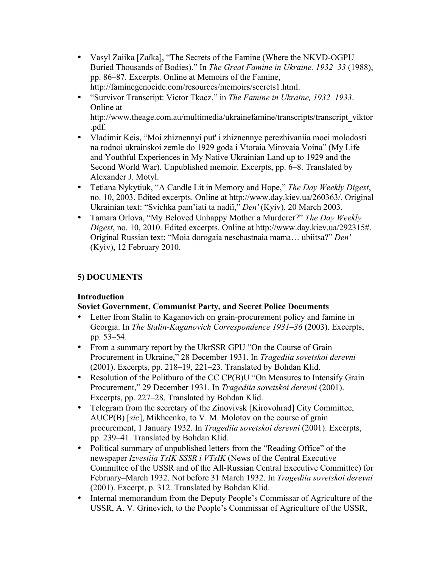- Vasyl Zaiika [Zaïka], "The Secrets of the Famine (Where the NKVD-OGPU Buried Thousands of Bodies)." In *The Great Famine in Ukraine, 1932–33* (1988), pp. 86–87. Excerpts. Online at Memoirs of the Famine, http://faminegenocide.com/resources/memoirs/secrets1.html.
- "Survivor Transcript: Victor Tkacz," in *The Famine in Ukraine, 1932–1933*. Online at

http://www.theage.com.au/multimedia/ukrainefamine/transcripts/transcript\_viktor .pdf.

- Vladimir Keis, "Moi zhiznennyi put' i zhiznennye perezhivaniia moei molodosti na rodnoi ukrainskoi zemle do 1929 goda i Vtoraia Mirovaia Voina" (My Life and Youthful Experiences in My Native Ukrainian Land up to 1929 and the Second World War). Unpublished memoir. Excerpts, pp. 6–8. Translated by Alexander J. Motyl.
- Tetiana Nykytiuk, "A Candle Lit in Memory and Hope," *The Day Weekly Digest*, no. 10, 2003. Edited excerpts. Online at http://www.day.kiev.ua/260363/. Original Ukrainian text: "Svichka pam'iati ta nadiï," *Den'* (Kyiv), 20 March 2003.
- Tamara Orlova, "My Beloved Unhappy Mother a Murderer?" *The Day Weekly Digest*, no. 10, 2010. Edited excerpts. Online at http://www.day.kiev.ua/292315#. Original Russian text: "Moia dorogaia neschastnaia mama… ubiitsa?" *Den'* (Kyiv), 12 February 2010.

## **5) DOCUMENTS**

## **Introduction**

## **Soviet Government, Communist Party, and Secret Police Documents**

- Letter from Stalin to Kaganovich on grain-procurement policy and famine in Georgia. In *The Stalin-Kaganovich Correspondence 1931–36* (2003). Excerpts, pp. 53–54.
- From a summary report by the UkrSSR GPU "On the Course of Grain Procurement in Ukraine," 28 December 1931. In *Tragediia sovetskoi derevni* (2001). Excerpts, pp. 218–19, 221–23. Translated by Bohdan Klid.
- Resolution of the Politburo of the CC CP(B)U "On Measures to Intensify Grain Procurement," 29 December 1931. In *Tragediia sovetskoi derevni* (2001). Excerpts, pp. 227–28. Translated by Bohdan Klid.
- Telegram from the secretary of the Zinovivsk [Kirovohrad] City Committee, AUCP(B) [*sic*], Mikheenko, to V. M. Molotov on the course of grain procurement, 1 January 1932. In *Tragediia sovetskoi derevni* (2001). Excerpts, pp. 239–41. Translated by Bohdan Klid.
- Political summary of unpublished letters from the "Reading Office" of the newspaper *Izvestiia TsIK SSSR i VTsIK* (News of the Central Executive Committee of the USSR and of the All-Russian Central Executive Committee) for February–March 1932. Not before 31 March 1932. In *Tragediia sovetskoi derevni* (2001). Excerpt, p. 312. Translated by Bohdan Klid.
- Internal memorandum from the Deputy People's Commissar of Agriculture of the USSR, A. V. Grinevich, to the People's Commissar of Agriculture of the USSR,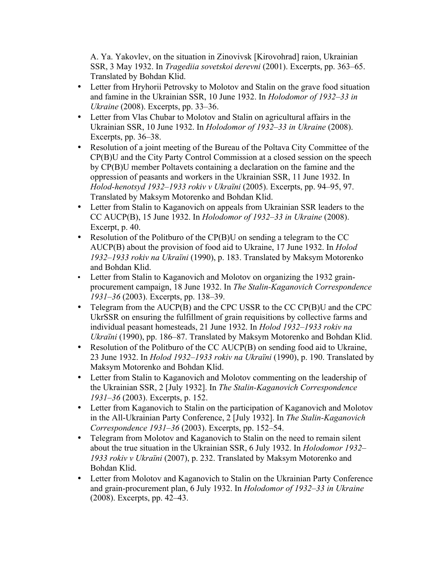A. Ya. Yakovlev, on the situation in Zinovivsk [Kirovohrad] raion, Ukrainian SSR, 3 May 1932. In *Tragediia sovetskoi derevni* (2001). Excerpts, pp. 363–65. Translated by Bohdan Klid.

- Letter from Hryhorii Petrovsky to Molotov and Stalin on the grave food situation and famine in the Ukrainian SSR, 10 June 1932. In *Holodomor of 1932–33 in Ukraine* (2008). Excerpts, pp. 33–36.
- Letter from Vlas Chubar to Molotov and Stalin on agricultural affairs in the Ukrainian SSR, 10 June 1932. In *Holodomor of 1932–33 in Ukraine* (2008). Excerpts, pp. 36–38.
- Resolution of a joint meeting of the Bureau of the Poltava City Committee of the CP(B)U and the City Party Control Commission at a closed session on the speech by CP(B)U member Poltavets containing a declaration on the famine and the oppression of peasants and workers in the Ukrainian SSR, 11 June 1932. In *Holod-henotsyd 1932–1933 rokiv v Ukraïni* (2005). Excerpts, pp. 94–95, 97. Translated by Maksym Motorenko and Bohdan Klid.
- Letter from Stalin to Kaganovich on appeals from Ukrainian SSR leaders to the CC AUCP(B), 15 June 1932. In *Holodomor of 1932–33 in Ukraine* (2008). Excerpt, p. 40.
- Resolution of the Politburo of the CP(B)U on sending a telegram to the CC AUCP(B) about the provision of food aid to Ukraine, 17 June 1932. In *Holod 1932–1933 rokiv na Ukraïni* (1990), p. 183. Translated by Maksym Motorenko and Bohdan Klid.
- Letter from Stalin to Kaganovich and Molotov on organizing the 1932 grainprocurement campaign, 18 June 1932. In *The Stalin-Kaganovich Correspondence 1931–36* (2003). Excerpts, pp. 138–39.
- Telegram from the AUCP(B) and the CPC USSR to the CC CP(B)U and the CPC UkrSSR on ensuring the fulfillment of grain requisitions by collective farms and individual peasant homesteads, 21 June 1932. In *Holod 1932–1933 rokiv na Ukraïni* (1990), pp. 186–87. Translated by Maksym Motorenko and Bohdan Klid.
- Resolution of the Politburo of the CC AUCP(B) on sending food aid to Ukraine, 23 June 1932. In *Holod 1932–1933 rokiv na Ukraïni* (1990), p. 190. Translated by Maksym Motorenko and Bohdan Klid.
- Letter from Stalin to Kaganovich and Molotov commenting on the leadership of the Ukrainian SSR, 2 [July 1932]. In *The Stalin-Kaganovich Correspondence 1931–36* (2003). Excerpts, p. 152.
- Letter from Kaganovich to Stalin on the participation of Kaganovich and Molotov in the All-Ukrainian Party Conference, 2 [July 1932]. In *The Stalin-Kaganovich Correspondence 1931–36* (2003). Excerpts, pp. 152–54.
- Telegram from Molotov and Kaganovich to Stalin on the need to remain silent about the true situation in the Ukrainian SSR, 6 July 1932. In *Holodomor 1932– 1933 rokiv v Ukraïni* (2007), p. 232. Translated by Maksym Motorenko and Bohdan Klid.
- Letter from Molotov and Kaganovich to Stalin on the Ukrainian Party Conference and grain-procurement plan, 6 July 1932. In *Holodomor of 1932–33 in Ukraine* (2008). Excerpts, pp. 42–43.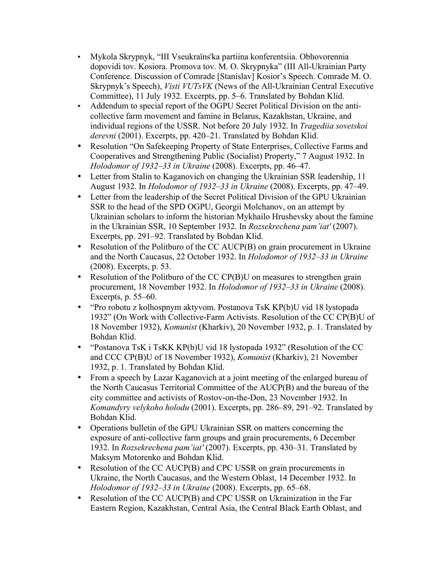- Mykola Skrypnyk, "III Vseukraïns'ka partiina konferentsiia. Obhovorennia dopovidi tov. Kosiora. Promova tov. M. O. Skrypnyka" (III All-Ukrainian Party Conference. Discussion of Comrade [Stanislav] Kosior's Speech. Comrade M. O. Skrypnyk's Speech), *Visti VUTsVK* (News of the All-Ukrainian Central Executive Committee), 11 July 1932. Excerpts, pp. 5–6. Translated by Bohdan Klid.
- Addendum to special report of the OGPU Secret Political Division on the anticollective farm movement and famine in Belarus, Kazakhstan, Ukraine, and individual regions of the USSR. Not before 20 July 1932. In *Tragediia sovetskoi derevni* (2001). Excerpts, pp. 420–21. Translated by Bohdan Klid.
- Resolution "On Safekeeping Property of State Enterprises, Collective Farms and Cooperatives and Strengthening Public (Socialist) Property," 7 August 1932. In *Holodomor of 1932–33 in Ukraine* (2008). Excerpts, pp. 46–47.
- Letter from Stalin to Kaganovich on changing the Ukrainian SSR leadership, 11 August 1932. In *Holodomor of 1932–33 in Ukraine* (2008). Excerpts, pp. 47–49.
- Letter from the leadership of the Secret Political Division of the GPU Ukrainian SSR to the head of the SPD OGPU, Georgii Molchanov, on an attempt by Ukrainian scholars to inform the historian Mykhailo Hrushevsky about the famine in the Ukrainian SSR, 10 September 1932. In *Rozsekrechena pam'iat'* (2007). Excerpts, pp. 291–92. Translated by Bohdan Klid.
- Resolution of the Politburo of the CC AUCP(B) on grain procurement in Ukraine and the North Caucasus, 22 October 1932. In *Holodomor of 1932–33 in Ukraine* (2008). Excerpts, p. 53.
- Resolution of the Politburo of the CC CP(B)U on measures to strengthen grain procurement, 18 November 1932. In *Holodomor of 1932–33 in Ukraine* (2008). Excerpts, p. 55–60.
- "Pro robotu z kolhospnym aktyvom. Postanova TsK KP(b)U vid 18 lystopada 1932" (On Work with Collective-Farm Activists. Resolution of the CC CP(B)U of 18 November 1932), *Komunist* (Kharkiv), 20 November 1932, p. 1. Translated by Bohdan Кlid.
- "Postanova TsK i TsKK KP(b)U vid 18 lystopada 1932" (Resolution of the CC and CCC CP(B)U of 18 November 1932), *Komunist* (Kharkiv), 21 November 1932, p. 1. Translated by Bohdan Klid.
- From a speech by Lazar Kaganovich at a joint meeting of the enlarged bureau of the North Caucasus Territorial Committee of the AUCP(B) and the bureau of the city committee and activists of Rostov-on-the-Don, 23 November 1932. In *Komandyry velykoho holodu* (2001). Excerpts, pp. 286–89, 291–92. Translated by Bohdan Klid.
- Operations bulletin of the GPU Ukrainian SSR on matters concerning the exposure of anti-collective farm groups and grain procurements, 6 December 1932. In *Rozsekrechena pam'iat'* (2007). Excerpts, pp. 430–31. Translated by Maksym Motorenko and Bohdan Klid.
- Resolution of the CC AUCP(B) and CPC USSR on grain procurements in Ukraine, the North Caucasus, and the Western Oblast, 14 December 1932. In *Holodomor of 1932–33 in Ukraine* (2008). Excerpts, pp. 65–68.
- Resolution of the CC AUCP(B) and CPC USSR on Ukrainization in the Far Eastern Region, Kazakhstan, Central Asia, the Central Black Earth Oblast, and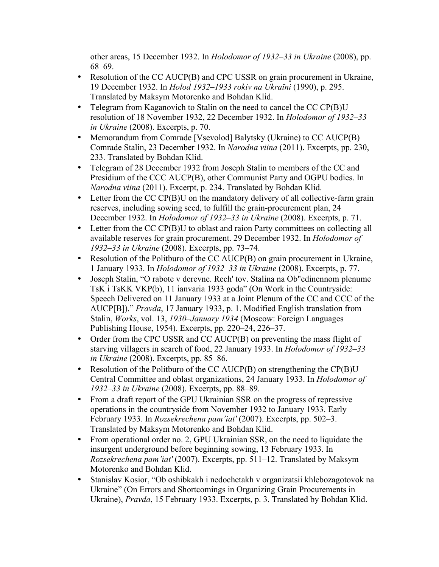other areas, 15 December 1932. In *Holodomor of 1932–33 in Ukraine* (2008), pp. 68–69.

- Resolution of the CC AUCP(B) and CPC USSR on grain procurement in Ukraine, 19 December 1932. In *Holod 1932–1933 rokiv na Ukraïni* (1990), p. 295. Translated by Maksym Motorenko and Bohdan Klid.
- Telegram from Kaganovich to Stalin on the need to cancel the CC CP(B)U resolution of 18 November 1932, 22 December 1932. In *Holodomor of 1932–33 in Ukraine* (2008). Excerpts, p. 70.
- Memorandum from Comrade [Vsevolod] Balytsky (Ukraine) to CC AUCP(B) Comrade Stalin, 23 December 1932. In *Narodna viina* (2011). Excerpts, pp. 230, 233. Translated by Bohdan Klid.
- Telegram of 28 December 1932 from Joseph Stalin to members of the CC and Presidium of the CCC AUCP(B), other Communist Party and OGPU bodies. In *Narodna viina* (2011). Excerpt, p. 234. Translated by Bohdan Klid.
- Letter from the CC CP(B)U on the mandatory delivery of all collective-farm grain reserves, including sowing seed, to fulfill the grain-procurement plan, 24 December 1932. In *Holodomor of 1932–33 in Ukraine* (2008). Excerpts, p. 71.
- Letter from the CC CP(B)U to oblast and raion Party committees on collecting all available reserves for grain procurement. 29 December 1932. In *Holodomor of 1932–33 in Ukraine* (2008). Excerpts, pp. 73–74.
- Resolution of the Politburo of the CC AUCP(B) on grain procurement in Ukraine, 1 January 1933. In *Holodomor of 1932–33 in Ukraine* (2008). Excerpts, p. 77.
- Joseph Stalin, "O rabote v derevne. Rech' tov. Stalina na Ob"edinennom plenume TsK i TsKK VKP(b), 11 ianvaria 1933 goda" (On Work in the Countryside: Speech Delivered on 11 January 1933 at a Joint Plenum of the CC and CCC of the AUCP[B])." *Pravda*, 17 January 1933, p. 1. Modified English translation from Stalin, *Works*, vol. 13, *1930–January 1934* (Moscow: Foreign Languages Publishing House, 1954). Excerpts, pp. 220–24, 226–37.
- Order from the CPC USSR and CC AUCP(B) on preventing the mass flight of starving villagers in search of food, 22 January 1933. In *Holodomor of 1932–33 in Ukraine* (2008). Excerpts, pp. 85–86.
- Resolution of the Politburo of the CC AUCP(B) on strengthening the CP(B)U Central Committee and oblast organizations, 24 January 1933. In *Holodomor of 1932–33 in Ukraine* (2008). Excerpts, pp. 88–89.
- From a draft report of the GPU Ukrainian SSR on the progress of repressive operations in the countryside from November 1932 to January 1933. Early February 1933. In *Rozsekrechena pam'iat'* (2007). Excerpts, pp. 502–3. Translated by Maksym Motorenko and Bohdan Klid.
- From operational order no. 2, GPU Ukrainian SSR, on the need to liquidate the insurgent underground before beginning sowing, 13 February 1933. In *Rozsekrechena pam'iat'* (2007). Excerpts, pp. 511–12. Translated by Maksym Motorenko and Bohdan Klid.
- Stanislav Kosior, "Ob oshibkakh i nedochetakh v organizatsii khlebozagotovok na Ukraine" (On Errors and Shortcomings in Organizing Grain Procurements in Ukraine), *Pravda*, 15 February 1933. Excerpts, p. 3. Translated by Bohdan Klid.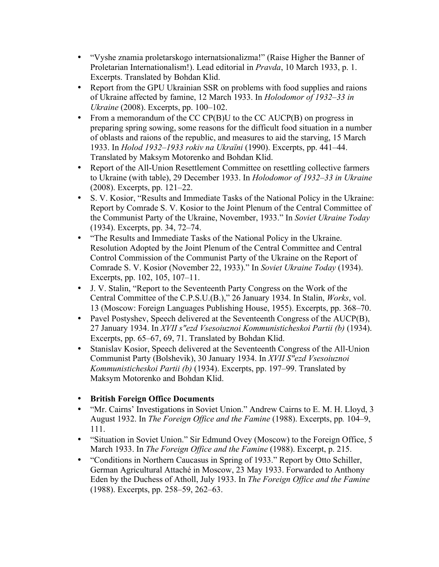- "Vyshe znamia proletarskogo internatsionalizma!" (Raise Higher the Banner of Proletarian Internationalism!). Lead editorial in *Pravda*, 10 March 1933, p. 1. Excerpts. Translated by Bohdan Klid.
- Report from the GPU Ukrainian SSR on problems with food supplies and raions of Ukraine affected by famine, 12 March 1933. In *Holodomor of 1932–33 in Ukraine* (2008). Excerpts, pp. 100–102.
- From a memorandum of the CC CP(B)U to the CC AUCP(B) on progress in preparing spring sowing, some reasons for the difficult food situation in a number of oblasts and raions of the republic, and measures to aid the starving, 15 March 1933. In *Holod 1932–1933 rokiv na Ukraïni* (1990). Excerpts, pp. 441–44. Translated by Maksym Motorenko and Bohdan Klid.
- Report of the All-Union Resettlement Committee on resettling collective farmers to Ukraine (with table), 29 December 1933. In *Holodomor of 1932–33 in Ukraine* (2008). Excerpts, pp. 121–22.
- S. V. Kosior, "Results and Immediate Tasks of the National Policy in the Ukraine: Report by Comrade S. V. Kosior to the Joint Plenum of the Central Committee of the Communist Party of the Ukraine, November, 1933." In *Soviet Ukraine Today* (1934). Excerpts, pp. 34, 72–74.
- "The Results and Immediate Tasks of the National Policy in the Ukraine. Resolution Adopted by the Joint Plenum of the Central Committee and Central Control Commission of the Communist Party of the Ukraine on the Report of Comrade S. V. Kosior (November 22, 1933)." In *Soviet Ukraine Today* (1934). Excerpts, pp. 102, 105, 107–11.
- J. V. Stalin, "Report to the Seventeenth Party Congress on the Work of the Central Committee of the C.P.S.U.(B.)," 26 January 1934. In Stalin, *Works*, vol. 13 (Moscow: Foreign Languages Publishing House, 1955). Excerpts, pp. 368–70.
- Pavel Postyshev, Speech delivered at the Seventeenth Congress of the AUCP(B), 27 January 1934. In *XVII s"ezd Vsesoiuznoi Kommunisticheskoi Partii (b)* (1934). Excerpts, pp. 65–67, 69, 71. Translated by Bohdan Klid.
- Stanislav Kosior, Speech delivered at the Seventeenth Congress of the All-Union Communist Party (Bolshevik), 30 January 1934. In *XVII S"ezd Vsesoiuznoi Kommunisticheskoi Partii (b)* (1934). Excerpts, pp. 197–99. Translated by Maksym Motorenko and Bohdan Klid.
- **British Foreign Office Documents**
- "Mr. Cairns' Investigations in Soviet Union." Andrew Cairns to E. M. H. Lloyd, 3 August 1932. In *The Foreign Office and the Famine* (1988). Excerpts, pp*.* 104–9, 111.
- "Situation in Soviet Union." Sir Edmund Ovey (Moscow) to the Foreign Office, 5 March 1933. In *The Foreign Office and the Famine* (1988). Excerpt, p. 215.
- "Conditions in Northern Caucasus in Spring of 1933." Report by Otto Schiller, German Agricultural Attaché in Moscow, 23 May 1933. Forwarded to Anthony Eden by the Duchess of Atholl, July 1933. In *The Foreign Office and the Famine* (1988). Excerpts, pp. 258–59, 262–63.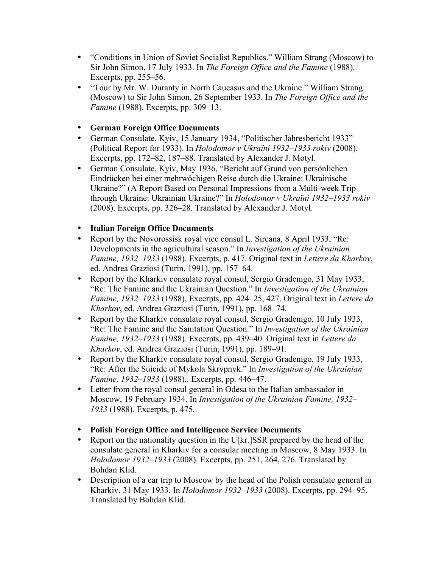- "Conditions in Union of Soviet Socialist Republics." William Strang (Moscow) to Sir John Simon, 17 July 1933. In *The Foreign Office and the Famine* (1988). Excerpts, pp. 255–56.
- "Tour by Mr. W. Duranty in North Caucasus and the Ukraine." William Strang (Moscow) to Sir John Simon, 26 September 1933. In *The Foreign Office and the Famine* (1988). Excerpts, pp. 309–13.

## • **German Foreign Office Documents**

- German Consulate, Kyiv, 15 January 1934, "Politischer Jahresbericht 1933" (Political Report for 1933). In *Holodomor v Ukraïni 1932–1933 rokiv* (2008). Excerpts, pp. 172–82, 187–88. Translated by Alexander J. Motyl.
- German Consulate, Kyiv, May 1936, "Bericht auf Grund von persönlichen Eindrücken bei einer mehrwöchigen Reise durch die Ukraine: Ukrainische Ukraine?" (A Report Based on Personal Impressions from a Multi-week Trip through Ukraine: Ukrainian Ukraine?" In *Holodomor v Ukraïni 1932–1933 rokiv*  (2008). Excerpts, pp. 326–28. Translated by Alexander J. Motyl.

# • **Italian Foreign Office Documents**

- Report by the Novorossisk royal vice consul L. Sircana, 8 April 1933, "Re: Developments in the agricultural season." In *Investigation of the Ukrainian Famine, 1932–1933* (1988). Excerpts, p. 417. Original text in *Lettere da Kharkov*, ed. Andrea Graziosi (Turin, 1991), pp. 157–64.
- Report by the Kharkiv consulate royal consul, Sergio Gradenigo, 31 May 1933, "Re: The Famine and the Ukrainian Question." In *Investigation of the Ukrainian Famine, 1932–1933* (1988), Excerpts, pp. 424–25, 427. Original text in *Lettere da Kharkov*, ed. Andrea Graziosi (Turin, 1991), pp. 168–74.
- Report by the Kharkiv consulate royal consul, Sergio Gradenigo, 10 July 1933, "Re: The Famine and the Sanitation Question." In *Investigation of the Ukrainian Famine, 1932–1933* (1988). Excerpts, pp. 439–40. Original text in *Lettere da Kharkov*, ed. Andrea Graziosi (Turin, 1991), pp. 189–91.
- Report by the Kharkiv consulate royal consul, Sergio Gradenigo, 19 July 1933, "Re: After the Suicide of Mykola Skrypnyk." In *Investigation of the Ukrainian Famine, 1932–1933* (1988),. Excerpts, pp. 446–47.
- Letter from the royal consul general in Odesa to the Italian ambassador in Moscow, 19 February 1934. In *Investigation of the Ukrainian Famine, 1932– 1933* (1988)*.* Excerpts, p. 475.
- **Polish Foreign Office and Intelligence Service Documents**
- Report on the nationality question in the U[kr.]SSR prepared by the head of the consulate general in Kharkiv for a consular meeting in Moscow, 8 May 1933. In *Hołodomor 1932–1933* (2008). Excerpts, pp. 251, 264, 276. Translated by Bohdan Klid.
- Description of a car trip to Moscow by the head of the Polish consulate general in Kharkiv, 31 May 1933. In *Hołodomor 1932–1933* (2008). Excerpts, pp. 294–95. Translated by Bohdan Klid.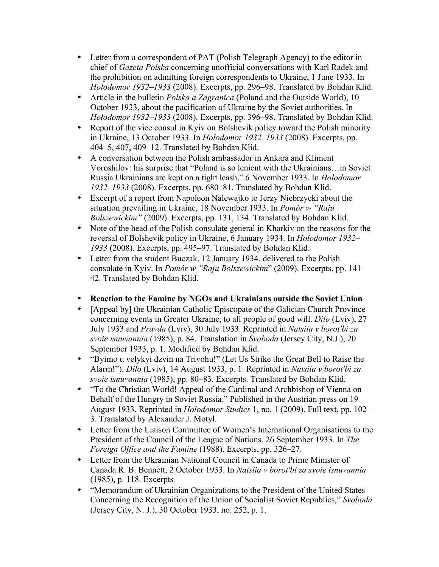- Letter from a correspondent of PAT (Polish Telegraph Agency) to the editor in chief of *Gazeta Polska* concerning unofficial conversations with Karl Radek and the prohibition on admitting foreign correspondents to Ukraine, 1 June 1933. In *Hołodomor 1932–1933* (2008). Excerpts, pp. 296–98. Translated by Bohdan Klid.
- Article in the bulletin *Polska a Zagranica* (Poland and the Outside World), 10 October 1933, about the pacification of Ukraine by the Soviet authorities. In *Hołodomor 1932–1933* (2008). Excerpts, pp. 396–98. Translated by Bohdan Klid.
- Report of the vice consul in Kyiv on Bolshevik policy toward the Polish minority in Ukraine, 13 October 1933. In *Hołodomor 1932–1933* (2008)*.* Excerpts, pp. 404–5, 407, 409–12. Translated by Bohdan Klid.
- A conversation between the Polish ambassador in Ankara and Kliment Voroshilov: his surprise that "Poland is so lenient with the Ukrainians…in Soviet Russia Ukrainians are kept on a tight leash," 6 November 1933. In *Hołodomor 1932–1933* (2008). Excerpts, pp. 680–81. Translated by Bohdan Klid.
- Excerpt of a report from Napoleon Nalewajko to Jerzy Niebrzycki about the situation prevailing in Ukraine, 18 November 1933. In *Pomór w "Raju Bolszewickim"* (2009). Excerpts, pp. 131, 134. Translated by Bohdan Klid.
- Note of the head of the Polish consulate general in Kharkiv on the reasons for the reversal of Bolshevik policy in Ukraine, 6 January 1934. In *Hołodomor 1932– 1933* (2008). Excerpts, pp. 495–97. Translated by Bohdan Klid.
- Letter from the student Buczak, 12 January 1934, delivered to the Polish consulate in Kyiv. In *Pomór w "Raju Bolszewickim*" (2009). Excerpts, pp. 141– 42. Translated by Bohdan Klid.
- **Reaction to the Famine by NGOs and Ukrainians outside the Soviet Union**
- [Appeal by] the Ukrainian Catholic Episcopate of the Galician Church Province concerning events in Greater Ukraine, to all people of good will. *Dilo* (Lviv), 27 July 1933 and *Pravda* (Lviv), 30 July 1933. Reprinted in *Natsiia v borot'bi za svoie isnuvannia* (1985), p. 84. Translation in *Svoboda* (Jersey City, N.J.), 20 September 1933, p. 1. Modified by Bohdan Klid.
- "Byimo u velykyi dzvin na Trivohu!" (Let Us Strike the Great Bell to Raise the Alarm!"), *Dilo* (Lviv), 14 August 1933, p. 1. Reprinted in *Natsiia v borot'bi za svoie isnuvannia* (1985), pp. 80–83. Excerpts. Translated by Bohdan Klid.
- "To the Christian World! Appeal of the Cardinal and Archbishop of Vienna on Behalf of the Hungry in Soviet Russia." Published in the Austrian press on 19 August 1933. Reprinted in *Holodomor Studies* 1, no. 1 (2009). Full text, pp. 102– 3. Translated by Alexander J. Motyl.
- Letter from the Liaison Committee of Women's International Organisations to the President of the Council of the League of Nations, 26 September 1933. In *The Foreign Office and the Famine* (1988). Excerpts, pp. 326–27.
- Letter from the Ukrainian National Council in Canada to Prime Minister of Canada R. B. Bennett, 2 October 1933. In *Natsiia v borot'bi za svoie isnuvannia*  (1985), p. 118. Excerpts*.*
- "Memorandum of Ukrainian Organizations to the President of the United States Concerning the Recognition of the Union of Socialist Soviet Republics," *Svoboda* (Jersey City, N. J.), 30 October 1933, no. 252, p. 1.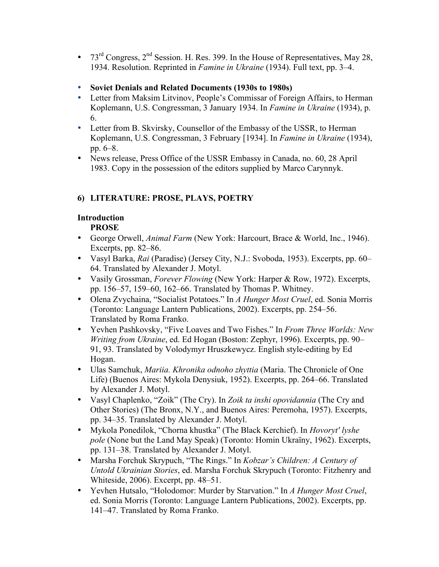- 73<sup>rd</sup> Congress,  $2<sup>nd</sup>$  Session. H. Res. 399. In the House of Representatives, May 28, 1934. Resolution. Reprinted in *Famine in Ukraine* (1934). Full text, pp. 3–4.
- **Soviet Denials and Related Documents (1930s to 1980s)**
- Letter from Maksim Litvinov, People's Commissar of Foreign Affairs, to Herman Koplemann, U.S. Congressman, 3 January 1934. In *Famine in Ukraine* (1934), p. 6.
- Letter from B. Skvirsky, Counsellor of the Embassy of the USSR, to Herman Koplemann, U.S. Congressman, 3 February [1934]. In *Famine in Ukraine* (1934), pp. 6–8.
- News release, Press Office of the USSR Embassy in Canada, no. 60, 28 April 1983. Copy in the possession of the editors supplied by Marco Carynnyk.

# **6) LITERATURE: PROSE, PLAYS, POETRY**

# **Introduction**

## **PROSE**

- George Orwell, *Animal Farm* (New York: Harcourt, Brace & World, Inc., 1946). Excerpts, pp. 82–86.
- Vasyl Barka, *Rai* (Paradise) (Jersey City, N.J.: Svoboda, 1953). Excerpts, pp. 60– 64. Translated by Alexander J. Motyl.
- Vasily Grossman, *Forever Flowing* (New York: Harper & Row, 1972). Excerpts, pp. 156–57, 159–60, 162–66. Translated by Thomas P. Whitney.
- Olena Zvychaina, "Socialist Potatoes." In *A Hunger Most Cruel*, ed. Sonia Morris (Toronto: Language Lantern Publications, 2002). Excerpts, pp. 254–56. Translated by Roma Franko.
- Yevhen Pashkovsky, "Five Loaves and Two Fishes." In *From Three Worlds: New Writing from Ukraine*, ed. Ed Hogan (Boston: Zephyr, 1996). Excerpts, pp. 90– 91, 93. Translated by Volodymyr Hruszkewycz. English style-editing by Ed Hogan.
- Ulas Samchuk, *Mariia. Khronika odnoho zhyttia* (Maria. The Chronicle of One Life) (Buenos Aires: Mykola Denysiuk, 1952). Excerpts, pp. 264–66. Translated by Alexander J. Motyl.
- Vasyl Chaplenko, "Zoik" (The Cry). In *Zoik ta inshi opovidannia* (The Cry and Other Stories) (The Bronx, N.Y., and Buenos Aires: Peremoha, 1957). Excerpts, pp. 34–35. Translated by Alexander J. Motyl.
- Mykola Ponedilok, "Chorna khustka" (The Black Kerchief). In *Hovoryt' lyshe pole* (None but the Land May Speak) (Toronto: Homin Ukraїny, 1962). Excerpts, pp. 131–38. Translated by Alexander J. Motyl.
- Marsha Forchuk Skrypuch, "The Rings." In *Kobzar's Children: A Century of Untold Ukrainian Stories*, ed. Marsha Forchuk Skrypuch (Toronto: Fitzhenry and Whiteside, 2006). Excerpt, pp. 48–51.
- Yevhen Hutsalo, "Holodomor: Murder by Starvation." In *A Hunger Most Cruel*, ed. Sonia Morris (Toronto: Language Lantern Publications, 2002). Excerpts, pp. 141–47. Translated by Roma Franko.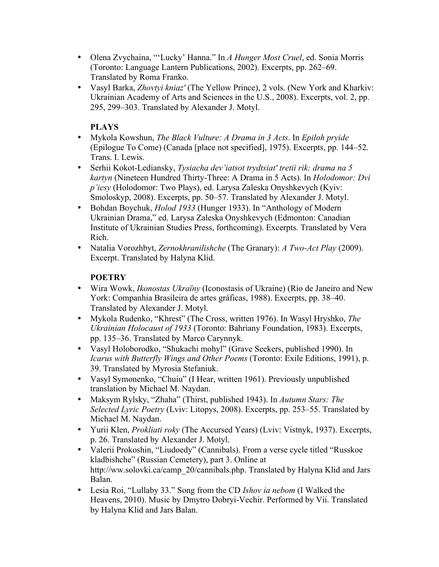- Olena Zvychaina, "'Lucky' Hanna." In *A Hunger Most Cruel*, ed. Sonia Morris (Toronto: Language Lantern Publications, 2002). Excerpts, pp. 262–69. Translated by Roma Franko.
- Vasyl Barka, *Zhovtyi kniaz'* (The Yellow Prince), 2 vols. (New York and Kharkiv: Ukrainian Academy of Arts and Sciences in the U.S., 2008). Excerpts, vol. 2, pp. 295, 299–303. Translated by Alexander J. Motyl.

# **PLAYS**

- Mykola Kowshun, *The Black Vulture: A Drama in 3 Acts*. In *Epiloh pryide* (Epilogue To Come) (Canada [place not specified], 1975). Excerpts, pp. 144–52. Trans. I. Lewis.
- Serhii Kokot-Lediansky, *Tysiacha dev'iatsot trydtsiat' tretii rik: drama na 5 kartyn* (Nineteen Hundred Thirty-Three: A Drama in 5 Acts). In *Holodomor: Dvi p'iesy* (Holodomor: Two Plays), ed. Larysa Zaleska Onyshkevych (Kyiv: Smoloskyp, 2008). Excerpts, pp. 50–57. Translated by Alexander J. Motyl.
- Bohdan Boychuk, *Holod 1933* (Hunger 1933). In "Anthology of Modern Ukrainian Drama," ed. Larysa Zaleska Onyshkevych (Edmonton: Canadian Institute of Ukrainian Studies Press, forthcoming). Excerpts. Translated by Vera Rich.
- Natalia Vorozhbyt, *Zernokhranilishche* (The Granary): *A Two-Act Play* (2009). Excerpt. Translated by Halyna Klid.

# **POETRY**

- Wira Wowk, *Ikonostas Ukraïny* (Iconostasis of Ukraine) (Rio de Janeiro and New York: Companhia Brasileira de artes gráficas, 1988). Excerpts, pp. 38–40. Translated by Alexander J. Motyl.
- Mykola Rudenko, "Khrest" (The Cross, written 1976). In Wasyl Hryshko, *The Ukrainian Holocaust of 1933* (Toronto: Bahriany Foundation, 1983). Excerpts, pp. 135–36. Translated by Marco Carynnyk.
- Vasyl Holoborodko, "Shukachi mohyl" (Grave Seekers, published 1990). In *Icarus with Butterfly Wings and Other Poems* (Toronto: Exile Editions, 1991), p. 39. Translated by Myrosia Stefaniuk.
- Vasyl Symonenko, "Chuiu" (I Hear, written 1961). Previously unpublished translation by Michael M. Naydan.
- Maksym Rylsky, "Zhaha" (Thirst, published 1943). In *Autumn Stars: The Selected Lyric Poetry* (Lviv: Litopys, 2008). Excerpts, pp. 253–55. Translated by Michael M. Naydan.
- Yurii Klen, *Prokliati roky* (The Accursed Years) (Lviv: Vistnyk, 1937). Excerpts, p. 26. Translated by Alexander J. Motyl.
- Valerii Prokoshin, "Liudoedy" (Cannibals). From a verse cycle titled "Russkoe kladbishche" (Russian Cemetery), part 3. Online at http://ww.solovki.ca/camp\_20/cannibals.php. Translated by Halyna Klid and Jars Balan.
- Lesia Roi, "Lullaby 33." Song from the CD *Ishov ia nebom* (I Walked the Heavens, 2010). Music by Dmytro Dobryi-Vechir. Performed by Vii. Translated by Halyna Klid and Jars Balan.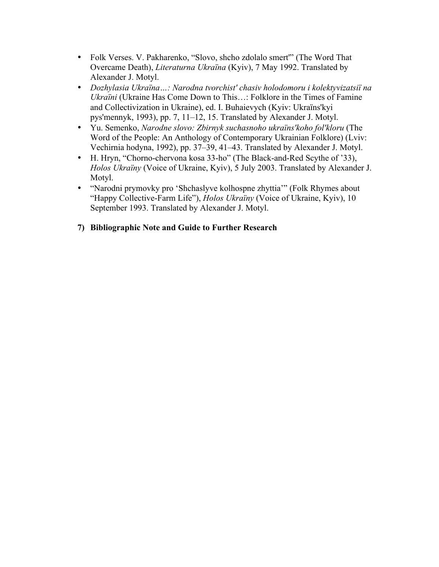- Folk Verses. V. Pakharenko, "Slovo, shcho zdolalo smert'" (The Word That Overcame Death), *Literaturna Ukraïna* (Kyiv), 7 May 1992. Translated by Alexander J. Motyl.
- *Dozhylasia Ukraïna…: Narodna tvorchist' chasiv holodomoru i kolektyvizatsiï na Ukraïni* (Ukraine Has Come Down to This…: Folklore in the Times of Famine and Collectivization in Ukraine), ed. I. Buhaievych (Kyiv: Ukraïns'kyi pys'mennyk, 1993), pp. 7, 11–12, 15. Translated by Alexander J. Motyl.
- Yu. Semenko, *Narodne slovo: Zbirnyk suchasnoho ukraïns'koho fol'kloru* (The Word of the People: An Anthology of Contemporary Ukrainian Folklore) (Lviv: Vechirnia hodyna, 1992), pp. 37–39, 41–43. Translated by Alexander J. Motyl.
- H. Hryn, "Chorno-chervona kosa 33-ho" (The Black-and-Red Scythe of '33), *Holos Ukraïny* (Voice of Ukraine, Kyiv), 5 July 2003. Translated by Alexander J. Motyl.
- "Narodni prymovky pro 'Shchaslyve kolhospne zhyttia'" (Folk Rhymes about "Happy Collective-Farm Life"), *Holos Ukraïny* (Voice of Ukraine, Kyiv), 10 September 1993. Translated by Alexander J. Motyl.

## **7) Bibliographic Note and Guide to Further Research**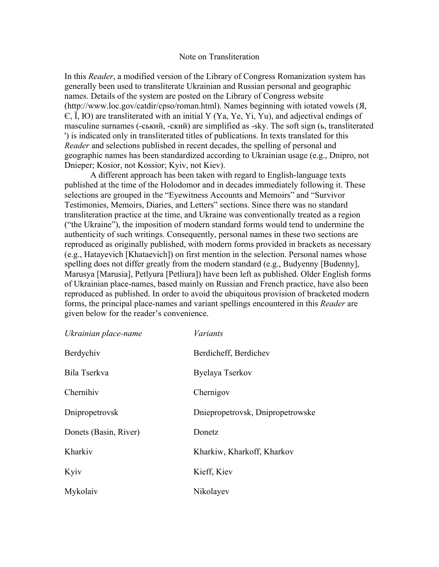#### Note on Transliteration

In this *Reader*, a modified version of the Library of Congress Romanization system has generally been used to transliterate Ukrainian and Russian personal and geographic names. Details of the system are posted on the Library of Congress website (http://www.loc.gov/catdir/cpso/roman.html). Names beginning with iotated vowels (Я, Є, Ї, Ю) are transliterated with an initial Y (Ya, Ye, Yi, Yu), and adjectival endings of masculine surnames (-ський, -ский) are simplified as -sky. The soft sign (ь, transliterated ') is indicated only in transliterated titles of publications. In texts translated for this *Reader* and selections published in recent decades, the spelling of personal and geographic names has been standardized according to Ukrainian usage (e.g., Dnipro, not Dnieper; Kosior, not Kossior; Kyiv, not Kiev).

A different approach has been taken with regard to English-language texts published at the time of the Holodomor and in decades immediately following it. These selections are grouped in the "Eyewitness Accounts and Memoirs" and "Survivor Testimonies, Memoirs, Diaries, and Letters" sections. Since there was no standard transliteration practice at the time, and Ukraine was conventionally treated as a region ("the Ukraine"), the imposition of modern standard forms would tend to undermine the authenticity of such writings. Consequently, personal names in these two sections are reproduced as originally published, with modern forms provided in brackets as necessary (e.g., Hatayevich [Khataevich]) on first mention in the selection. Personal names whose spelling does not differ greatly from the modern standard (e.g., Budyenny [Budenny], Marusya [Marusia], Petlyura [Petliura]) have been left as published. Older English forms of Ukrainian place-names, based mainly on Russian and French practice, have also been reproduced as published. In order to avoid the ubiquitous provision of bracketed modern forms, the principal place-names and variant spellings encountered in this *Reader* are given below for the reader's convenience.

| Ukrainian place-name  | Variants                         |
|-----------------------|----------------------------------|
| Berdychiv             | Berdicheff, Berdichev            |
| Bila Tserkva          | Byelaya Tserkov                  |
| Chernihiv             | Chernigov                        |
| Dnipropetrovsk        | Dniepropetrovsk, Dnipropetrowske |
| Donets (Basin, River) | Donetz                           |
| Kharkiv               | Kharkiw, Kharkoff, Kharkov       |
| Kyiv                  | Kieff, Kiev                      |
| Mykolaiv              | Nikolayev                        |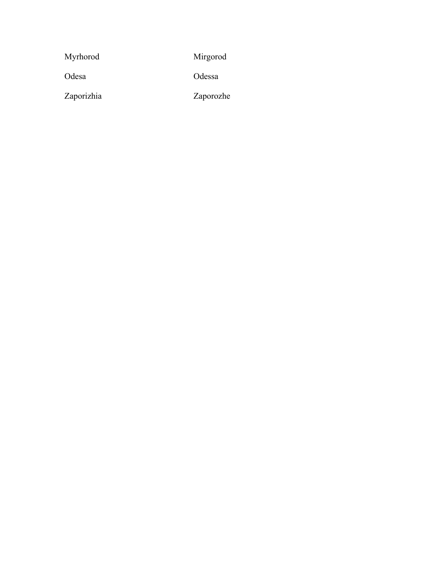| Myrhorod   | Mirgorod  |
|------------|-----------|
| Odesa      | Odessa    |
| Zaporizhia | Zaporozhe |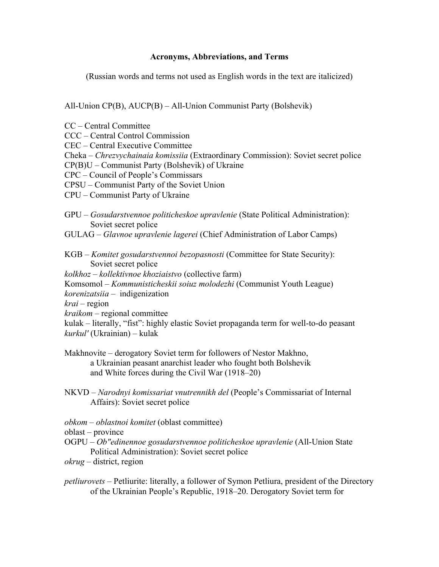#### **Acronyms, Abbreviations, and Terms**

(Russian words and terms not used as English words in the text are italicized)

All-Union CP(B), AUCP(B) – All-Union Communist Party (Bolshevik)

CC – Central Committee

CCC – Central Control Commission

CEC – Central Executive Committee

Cheka – *Chrezvychainaia komissiia* (Extraordinary Commission): Soviet secret police

CP(B)U – Communist Party (Bolshevik) of Ukraine

CPC – Council of People's Commissars

CPSU – Communist Party of the Soviet Union

CPU – Communist Party of Ukraine

- GPU *Gosudarstvennoe politicheskoe upravlenie* (State Political Administration): Soviet secret police
- GULAG *Glavnoe upravlenie lagerei* (Chief Administration of Labor Camps)
- KGB *Komitet gosudarstvennoi bezopasnosti* (Committee for State Security): Soviet secret police
- *kolkhoz kollektivnoe khoziaistvo* (collective farm)
- Komsomol *Kommunisticheskii soiuz molodezhi* (Communist Youth League)

*korenizatsiia* – indigenization

*krai* – region

*kraikom* – regional committee

kulak – literally, "fist": highly elastic Soviet propaganda term for well-to-do peasant *kurkul'* (Ukrainian) – kulak

- Makhnovite derogatory Soviet term for followers of Nestor Makhno, a Ukrainian peasant anarchist leader who fought both Bolshevik and White forces during the Civil War (1918–20)
- NKVD *Narodnyi komissariat vnutrennikh del* (People's Commissariat of Internal Affairs): Soviet secret police
- *obkom oblastnoi komitet* (oblast committee)

oblast – province

OGPU – *Ob"edinennoe gosudarstvennoe politicheskoe upravlenie* (All-Union State Political Administration): Soviet secret police

*okrug* – district, region

*petliurovets* – Petliurite: literally, a follower of Symon Petliura, president of the Directory of the Ukrainian People's Republic, 1918–20. Derogatory Soviet term for